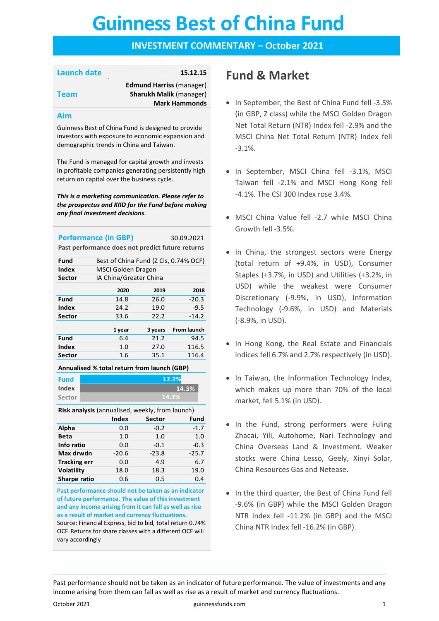# **Guinness Best of China Fund Guinness Best of China Fund**

### **INVESTMENT COMMENTARY – October 2021**

| <b>Launch date</b> | 15.12.15                        |
|--------------------|---------------------------------|
|                    | <b>Edmund Harriss (manager)</b> |
| <b>Team</b>        | <b>Sharukh Malik (manager)</b>  |
|                    | <b>Mark Hammonds</b>            |
|                    |                                 |

#### **Aim**

Guinness Best of China Fund is designed to provide investors with exposure to economic expansion and demographic trends in China and Taiwan.

The Fund is managed for capital growth and invests in profitable companies generating persistently high return on capital over the business cycle.

*This is a marketing communication. Please refer to the prospectus and KIID for the Fund before making any final investment decisions.*

#### **Performance (in GBP)** 30.09.2021

**Past performance does not predict future returns**

| Fund          | Best of China Fund (Z Cls, 0.74% OCF) |                           |                    |  |
|---------------|---------------------------------------|---------------------------|--------------------|--|
| Index         |                                       | <b>MSCI Golden Dragon</b> |                    |  |
| <b>Sector</b> |                                       | IA China/Greater China    |                    |  |
|               | 2020                                  | 2019                      | 2018               |  |
| Fund          | 14.8                                  | 26.0                      | $-20.3$            |  |
| Index         | 24.2                                  | 19.0                      | $-9.5$             |  |
| <b>Sector</b> | 33.6                                  | 22.2                      | $-14.2$            |  |
|               | 1 year                                | 3 years                   | <b>From launch</b> |  |
| Fund          | 6.4                                   | 21.2                      | 94.5               |  |
| Index         | 1.0                                   | 27.0                      | 116.5              |  |
| Sector        | 1.6                                   | 35.1                      | 116.4              |  |

**Annualised % total return from launch (GBP)**

| <b>Fund</b> | 12.2% |
|-------------|-------|
| Index       | 14.3% |
| Sector      | 14.2% |

**Risk analysis** (annualised, weekly, from launch)

|                     | Index   | <b>Sector</b> | Fund    |
|---------------------|---------|---------------|---------|
| Alpha               | 0.0     | $-0.2$        | $-1.7$  |
| <b>Beta</b>         | 1.0     | 1.0           | 1.0     |
| Info ratio          | 0.0     | $-0.1$        | $-0.3$  |
| Max drwdn           | $-20.6$ | $-23.8$       | $-25.7$ |
| <b>Tracking err</b> | 0.0     | 4.9           | 6.7     |
| <b>Volatility</b>   | 18.0    | 18.3          | 19.0    |
| Sharpe ratio        | 0.6     | 0.5           | 0.4     |

**Past performance should not be taken as an indicator of future performance. The value of this investment and any income arising from it can fall as well as rise as a result of market and currency fluctuations.** 

Source: Financial Express, bid to bid, total return 0.74% OCF. Returns for share classes with a different OCF will vary accordingly

### **Fund & Market**

- In September, the Best of China Fund fell -3.5% (in GBP, Z class) while the MSCI Golden Dragon Net Total Return (NTR) Index fell -2.9% and the MSCI China Net Total Return (NTR) Index fell -3.1%.
- In September, MSCI China fell -3.1%, MSCI Taiwan fell -2.1% and MSCI Hong Kong fell -4.1%. The CSI 300 Index rose 3.4%.
- MSCI China Value fell -2.7 while MSCI China Growth fell -3.5%.
- In China, the strongest sectors were Energy (total return of +9.4%, in USD), Consumer Staples (+3.7%, in USD) and Utilities (+3.2%, in USD) while the weakest were Consumer Discretionary (-9.9%, in USD), Information Technology (-9.6%, in USD) and Materials (-8.9%, in USD).
- In Hong Kong, the Real Estate and Financials indices fell 6.7% and 2.7% respectively (in USD).
- In Taiwan, the Information Technology Index, which makes up more than 70% of the local market, fell 5.1% (in USD).
- In the Fund, strong performers were Fuling Zhacai, Yili, Autohome, Nari Technology and China Overseas Land & Investment. Weaker stocks were China Lesso, Geely, Xinyi Solar, China Resources Gas and Netease.
- In the third quarter, the Best of China Fund fell -9.6% (in GBP) while the MSCI Golden Dragon NTR Index fell -11.2% (in GBP) and the MSCI China NTR Index fell -16.2% (in GBP).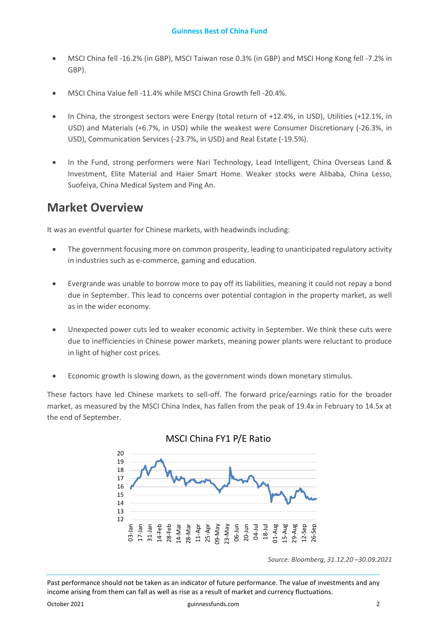- MSCI China fell -16.2% (in GBP), MSCI Taiwan rose 0.3% (in GBP) and MSCI Hong Kong fell -7.2% in GBP).
- MSCI China Value fell -11.4% while MSCI China Growth fell -20.4%.
- In China, the strongest sectors were Energy (total return of +12.4%, in USD), Utilities (+12.1%, in USD) and Materials (+6.7%, in USD) while the weakest were Consumer Discretionary (-26.3%, in USD), Communication Services (-23.7%, in USD) and Real Estate (-19.5%).
- In the Fund, strong performers were Nari Technology, Lead Intelligent, China Overseas Land & Investment, Elite Material and Haier Smart Home. Weaker stocks were Alibaba, China Lesso, Suofeiya, China Medical System and Ping An.

### **Market Overview**

It was an eventful quarter for Chinese markets, with headwinds including:

- The government focusing more on common prosperity, leading to unanticipated regulatory activity in industries such as e-commerce, gaming and education.
- Evergrande was unable to borrow more to pay off its liabilities, meaning it could not repay a bond due in September. This lead to concerns over potential contagion in the property market, as well as in the wider economy.
- Unexpected power cuts led to weaker economic activity in September. We think these cuts were due to inefficiencies in Chinese power markets, meaning power plants were reluctant to produce in light of higher cost prices.
- Economic growth is slowing down, as the government winds down monetary stimulus.

These factors have led Chinese markets to sell-off. The forward price/earnings ratio for the broader market, as measured by the MSCI China Index, has fallen from the peak of 19.4x in February to 14.5x at the end of September.



#### MSCI China FY1 P/E Ratio

*Source: Bloomberg, 31.12.20 –30.09.2021*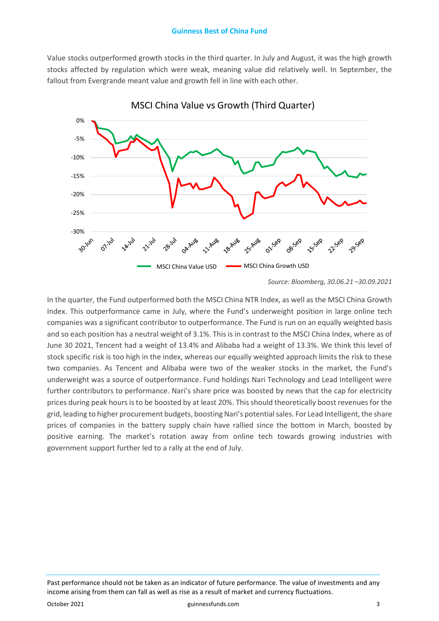Value stocks outperformed growth stocks in the third quarter. In July and August, it was the high growth stocks affected by regulation which were weak, meaning value did relatively well. In September, the fallout from Evergrande meant value and growth fell in line with each other.



In the quarter, the Fund outperformed both the MSCI China NTR Index, as well as the MSCI China Growth Index. This outperformance came in July, where the Fund's underweight position in large online tech companies was a significant contributor to outperformance. The Fund is run on an equally weighted basis and so each position has a neutral weight of 3.1%. This is in contrast to the MSCI China Index, where as of June 30 2021, Tencent had a weight of 13.4% and Alibaba had a weight of 13.3%. We think this level of stock specific risk is too high in the index, whereas our equally weighted approach limits the risk to these two companies. As Tencent and Alibaba were two of the weaker stocks in the market, the Fund's underweight was a source of outperformance. Fund holdings Nari Technology and Lead Intelligent were further contributors to performance. Nari's share price was boosted by news that the cap for electricity prices during peak hours isto be boosted by at least 20%. This should theoretically boost revenues for the grid, leading to higher procurement budgets, boosting Nari's potential sales. For Lead Intelligent, the share prices of companies in the battery supply chain have rallied since the bottom in March, boosted by positive earning. The market's rotation away from online tech towards growing industries with government support further led to a rally at the end of July.

*Source: Bloomberg, 30.06.21 –30.09.2021*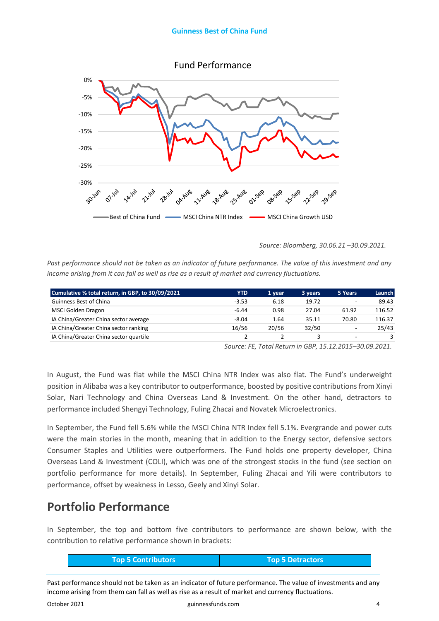

*Source: Bloomberg, 30.06.21 –30.09.2021.* 

*Past performance should not be taken as an indicator of future performance. The value of this investment and any income arising from it can fall as well as rise as a result of market and currency fluctuations.*

| Cumulative % total return, in GBP, to 30/09/2021 | YTD     | 1 year | 3 years | 5 Years                  | <b>Launch</b> |
|--------------------------------------------------|---------|--------|---------|--------------------------|---------------|
| Guinness Best of China                           | $-3.53$ | 6.18   | 19.72   | $\overline{\phantom{a}}$ | 89.43         |
| MSCI Golden Dragon                               | $-6.44$ | 0.98   | 27.04   | 61.92                    | 116.52        |
| IA China/Greater China sector average            | $-8.04$ | 1.64   | 35.11   | 70.80                    | 116.37        |
| IA China/Greater China sector ranking            | 16/56   | 20/56  | 32/50   | $\overline{\phantom{a}}$ | 25/43         |
| IA China/Greater China sector quartile           |         |        |         | -                        |               |

*Source: FE, Total Return in GBP, 15.12.2015–30.09.2021.*

In August, the Fund was flat while the MSCI China NTR Index was also flat. The Fund's underweight position in Alibaba was a key contributor to outperformance, boosted by positive contributions from Xinyi Solar, Nari Technology and China Overseas Land & Investment. On the other hand, detractors to performance included Shengyi Technology, Fuling Zhacai and Novatek Microelectronics.

In September, the Fund fell 5.6% while the MSCI China NTR Index fell 5.1%. Evergrande and power cuts were the main stories in the month, meaning that in addition to the Energy sector, defensive sectors Consumer Staples and Utilities were outperformers. The Fund holds one property developer, China Overseas Land & Investment (COLI), which was one of the strongest stocks in the fund (see section on portfolio performance for more details). In September, Fuling Zhacai and Yili were contributors to performance, offset by weakness in Lesso, Geely and Xinyi Solar.

### **Portfolio Performance**

In September, the top and bottom five contributors to performance are shown below, with the contribution to relative performance shown in brackets:

| <b>Top 5 Contributors</b> | Top 5 Detractors |
|---------------------------|------------------|
|---------------------------|------------------|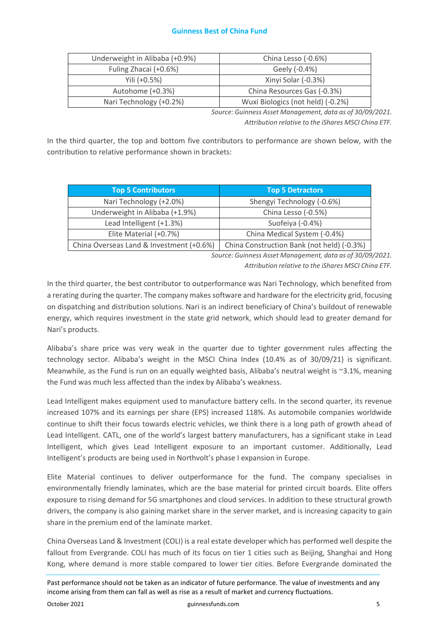| Underweight in Alibaba (+0.9%) | China Lesso (-0.6%)               |
|--------------------------------|-----------------------------------|
| Fuling Zhacai (+0.6%)          | Geely (-0.4%)                     |
| Yili (+0.5%)                   | Xinyi Solar (-0.3%)               |
| Autohome (+0.3%)               | China Resources Gas (-0.3%)       |
| Nari Technology (+0.2%)        | Wuxi Biologics (not held) (-0.2%) |

 *Source: Guinness Asset Management, data as of 30/09/2021. Attribution relative to the iShares MSCI China ETF.*

In the third quarter, the top and bottom five contributors to performance are shown below, with the contribution to relative performance shown in brackets:

| <b>Top 5 Contributors</b>                | <b>Top 5 Detractors</b>                    |
|------------------------------------------|--------------------------------------------|
| Nari Technology (+2.0%)                  | Shengyi Technology (-0.6%)                 |
| Underweight in Alibaba (+1.9%)           | China Lesso (-0.5%)                        |
| Lead Intelligent (+1.3%)                 | Suofeiya (-0.4%)                           |
| Elite Material (+0.7%)                   | China Medical System (-0.4%)               |
| China Overseas Land & Investment (+0.6%) | China Construction Bank (not held) (-0.3%) |

 *Source: Guinness Asset Management, data as of 30/09/2021. Attribution relative to the iShares MSCI China ETF.*

In the third quarter, the best contributor to outperformance was Nari Technology, which benefited from a rerating during the quarter. The company makes software and hardware for the electricity grid, focusing on dispatching and distribution solutions. Nari is an indirect beneficiary of China's buildout of renewable energy, which requires investment in the state grid network, which should lead to greater demand for Nari's products.

Alibaba's share price was very weak in the quarter due to tighter government rules affecting the technology sector. Alibaba's weight in the MSCI China Index (10.4% as of 30/09/21) is significant. Meanwhile, as the Fund is run on an equally weighted basis, Alibaba's neutral weight is ~3.1%, meaning the Fund was much less affected than the index by Alibaba's weakness.

Lead Intelligent makes equipment used to manufacture battery cells. In the second quarter, its revenue increased 107% and its earnings per share (EPS) increased 118%. As automobile companies worldwide continue to shift their focus towards electric vehicles, we think there is a long path of growth ahead of Lead Intelligent. CATL, one of the world's largest battery manufacturers, has a significant stake in Lead Intelligent, which gives Lead Intelligent exposure to an important customer. Additionally, Lead Intelligent's products are being used in Northvolt's phase I expansion in Europe.

Elite Material continues to deliver outperformance for the fund. The company specialises in environmentally friendly laminates, which are the base material for printed circuit boards. Elite offers exposure to rising demand for 5G smartphones and cloud services. In addition to these structural growth drivers, the company is also gaining market share in the server market, and is increasing capacity to gain share in the premium end of the laminate market.

China Overseas Land & Investment (COLI) is a real estate developer which has performed well despite the fallout from Evergrande. COLI has much of its focus on tier 1 cities such as Beijing, Shanghai and Hong Kong, where demand is more stable compared to lower tier cities. Before Evergrande dominated the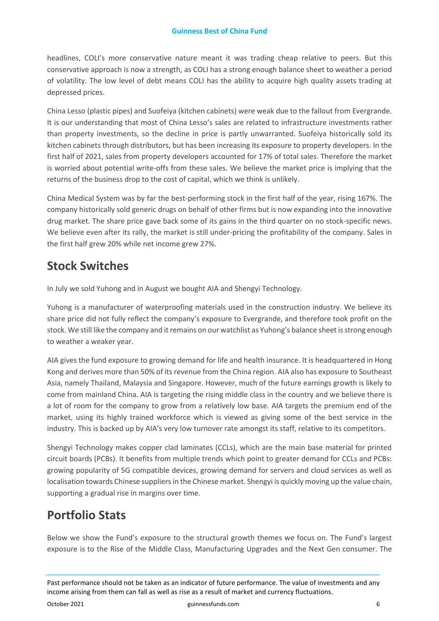headlines, COLI's more conservative nature meant it was trading cheap relative to peers. But this conservative approach is now a strength, as COLI has a strong enough balance sheet to weather a period of volatility. The low level of debt means COLI has the ability to acquire high quality assets trading at depressed prices.

China Lesso (plastic pipes) and Suofeiya (kitchen cabinets) were weak due to the fallout from Evergrande. It is our understanding that most of China Lesso's sales are related to infrastructure investments rather than property investments, so the decline in price is partly unwarranted. Suofeiya historically sold its kitchen cabinets through distributors, but has been increasing its exposure to property developers. In the first half of 2021, sales from property developers accounted for 17% of total sales. Therefore the market is worried about potential write-offs from these sales. We believe the market price is implying that the returns of the business drop to the cost of capital, which we think is unlikely.

China Medical System was by far the best-performing stock in the first half of the year, rising 167%. The company historically sold generic drugs on behalf of other firms but is now expanding into the innovative drug market. The share price gave back some of its gains in the third quarter on no stock-specific news. We believe even after its rally, the market is still under-pricing the profitability of the company. Sales in the first half grew 20% while net income grew 27%.

### **Stock Switches**

In July we sold Yuhong and in August we bought AIA and Shengyi Technology.

Yuhong is a manufacturer of waterproofing materials used in the construction industry. We believe its share price did not fully reflect the company's exposure to Evergrande, and therefore took profit on the stock. We still like the company and it remains on our watchlist as Yuhong's balance sheet is strong enough to weather a weaker year.

AIA gives the fund exposure to growing demand for life and health insurance. It is headquartered in Hong Kong and derives more than 50% of its revenue from the China region. AIA also has exposure to Southeast Asia, namely Thailand, Malaysia and Singapore. However, much of the future earnings growth is likely to come from mainland China. AIA is targeting the rising middle class in the country and we believe there is a lot of room for the company to grow from a relatively low base. AIA targets the premium end of the market, using its highly trained workforce which is viewed as giving some of the best service in the industry. This is backed up by AIA's very low turnover rate amongst its staff, relative to its competitors.

Shengyi Technology makes copper clad laminates (CCLs), which are the main base material for printed circuit boards (PCBs). It benefits from multiple trends which point to greater demand for CCLs and PCBs: growing popularity of 5G compatible devices, growing demand for servers and cloud services as well as localisation towards Chinese suppliers in the Chinese market. Shengyi is quickly moving up the value chain, supporting a gradual rise in margins over time.

## **Portfolio Stats**

Below we show the Fund's exposure to the structural growth themes we focus on. The Fund's largest exposure is to the Rise of the Middle Class, Manufacturing Upgrades and the Next Gen consumer. The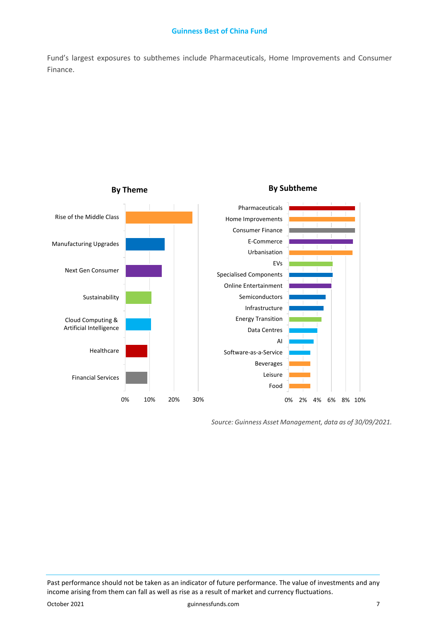Fund's largest exposures to subthemes include Pharmaceuticals, Home Improvements and Consumer Finance.



 *Source: Guinness Asset Management, data as of 30/09/2021.*

Past performance should not be taken as an indicator of future performance. The value of investments and any income arising from them can fall as well as rise as a result of market and currency fluctuations.

October 2021 guinnessfunds.com 7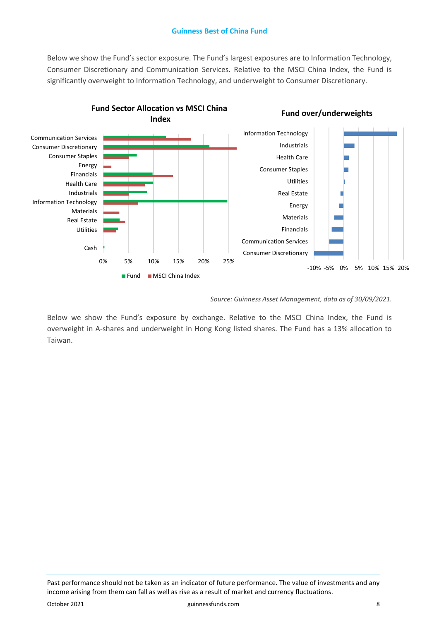Below we show the Fund's sector exposure. The Fund's largest exposures are to Information Technology, Consumer Discretionary and Communication Services. Relative to the MSCI China Index, the Fund is significantly overweight to Information Technology, and underweight to Consumer Discretionary.



#### *Source: Guinness Asset Management, data as of 30/09/2021.*

Below we show the Fund's exposure by exchange. Relative to the MSCI China Index, the Fund is overweight in A-shares and underweight in Hong Kong listed shares. The Fund has a 13% allocation to Taiwan.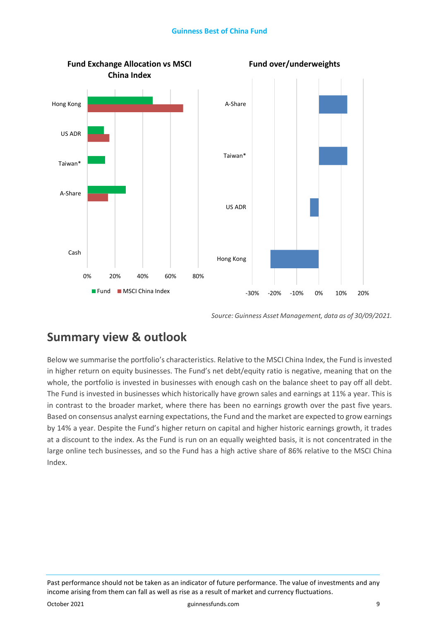

 *Source: Guinness Asset Management, data as of 30/09/2021.*

### **Summary view & outlook**

Below we summarise the portfolio's characteristics. Relative to the MSCI China Index, the Fund is invested in higher return on equity businesses. The Fund's net debt/equity ratio is negative, meaning that on the whole, the portfolio is invested in businesses with enough cash on the balance sheet to pay off all debt. The Fund is invested in businesses which historically have grown sales and earnings at 11% a year. This is in contrast to the broader market, where there has been no earnings growth over the past five years. Based on consensus analyst earning expectations, the Fund and the market are expected to grow earnings by 14% a year. Despite the Fund's higher return on capital and higher historic earnings growth, it trades at a discount to the index. As the Fund is run on an equally weighted basis, it is not concentrated in the large online tech businesses, and so the Fund has a high active share of 86% relative to the MSCI China Index.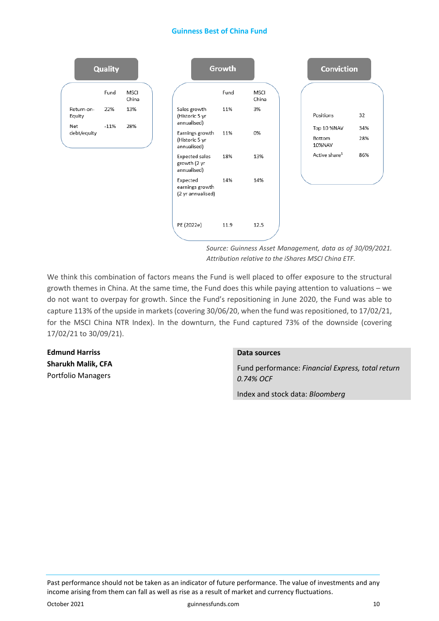|                      | <b>Quality</b> |                      |
|----------------------|----------------|----------------------|
|                      | Fund           | <b>MSCI</b><br>China |
| Return-on-<br>Equity | 22%            | 13%                  |
| Net<br>debt/equity   | $-11%$         | 28%                  |
|                      |                |                      |

|                                                      | Growth |                      |  |
|------------------------------------------------------|--------|----------------------|--|
|                                                      | Fund   | <b>MSCI</b><br>China |  |
| Sales growth<br>(Historic 5 yr<br>annualised)        | 11%    | 3%                   |  |
| Earnings growth<br>(Historic 5 yr<br>annualised)     | 11%    | 0%                   |  |
| <b>Expected sales</b><br>growth (2 yr<br>annualised) | 18%    | 13%                  |  |
| Expected<br>earnings growth<br>(2 yr annualised)     | 14%    | 14%                  |  |
| PE (2022e)                                           | 11.9   | 12.5                 |  |

| <b>Conviction</b>         |     |  |  |
|---------------------------|-----|--|--|
|                           |     |  |  |
| Positions                 | 32  |  |  |
| Top 10 %NAV               | 34% |  |  |
| Bottom<br>10%NAV          | 28% |  |  |
| Active share <sup>1</sup> | 86% |  |  |
|                           |     |  |  |
|                           |     |  |  |
|                           |     |  |  |

*Source: Guinness Asset Management, data as of 30/09/2021. Attribution relative to the iShares MSCI China ETF.*

We think this combination of factors means the Fund is well placed to offer exposure to the structural growth themes in China. At the same time, the Fund does this while paying attention to valuations – we do not want to overpay for growth. Since the Fund's repositioning in June 2020, the Fund was able to capture 113% of the upside in markets (covering 30/06/20, when the fund was repositioned, to 17/02/21, for the MSCI China NTR Index). In the downturn, the Fund captured 73% of the downside (covering 17/02/21 to 30/09/21).

**Edmund Harriss Sharukh Malik, CFA**  Portfolio Managers

#### **Data sources**

Fund performance: *Financial Express, total return 0.74% OCF*

Index and stock data: *Bloomberg*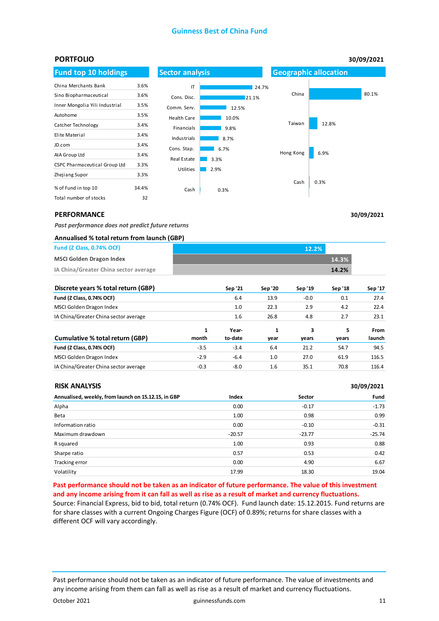

**PERFORMANCE**

*Past performance does not predict future returns* 

| Annualised % total return from launch (GBP) |  |
|---------------------------------------------|--|
|                                             |  |

| 14.3%<br>14.2% | <b>Fund (Z Class, 0.74% OCF)</b>      | 12.2% |  |
|----------------|---------------------------------------|-------|--|
|                | <b>MSCI Golden Dragon Index</b>       |       |  |
|                | IA China/Greater China sector average |       |  |

| Discrete years % total return (GBP)   |        | Sep '21 | Sep '20      | Sep '19 | Sep '18 | Sep '17 |
|---------------------------------------|--------|---------|--------------|---------|---------|---------|
| Fund (Z Class, 0.74% OCF)             |        | 6.4     | 13.9         | $-0.0$  | 0.1     | 27.4    |
| MSCI Golden Dragon Index              |        | 1.0     | 22.3         | 2.9     | 4.2     | 22.4    |
| IA China/Greater China sector average |        | 1.6     | 26.8         | 4.8     | 2.7     | 23.1    |
|                                       | 1      | Year-   | $\mathbf{1}$ | 3       | 5       | From    |
| Cumulative % total return (GBP)       | month  | to-date | year         | years   | years   | launch  |
| Fund (Z Class, 0.74% OCF)             | $-3.5$ | $-3.4$  | 6.4          | 21.2    | 54.7    | 94.5    |
| MSCI Golden Dragon Index              | $-2.9$ | $-6.4$  | 1.0          | 27.0    | 61.9    | 116.5   |
| IA China/Greater China sector average | $-0.3$ | $-8.0$  | 1.6          | 35.1    | 70.8    | 116.4   |

| <b>RISK ANALYSIS</b>                                | 30/09/2021 |          |          |
|-----------------------------------------------------|------------|----------|----------|
| Annualised, weekly, from launch on 15.12.15, in GBP | Index      | Sector   | Fund     |
| Alpha                                               | 0.00       | $-0.17$  | $-1.73$  |
| Beta                                                | 1.00       | 0.98     | 0.99     |
| Information ratio                                   | 0.00       | $-0.10$  | $-0.31$  |
| Maximum drawdown                                    | $-20.57$   | $-23.77$ | $-25.74$ |
| R squared                                           | 1.00       | 0.93     | 0.88     |
| Sharpe ratio                                        | 0.57       | 0.53     | 0.42     |
| Tracking error                                      | 0.00       | 4.90     | 6.67     |
| Volatility                                          | 17.99      | 18.30    | 19.04    |

**Past performance should not be taken as an indicator of future performance. The value of this investment and any income arising from it can fall as well as rise as a result of market and currency fluctuations.**  Source: Financial Express, bid to bid, total return (0.74% OCF). Fund launch date: 15.12.2015. Fund returns are for share classes with a current Ongoing Charges Figure (OCF) of 0.89%; returns for share classes with a different OCF will vary accordingly.

Past performance should not be taken as an indicator of future performance. The value of investments and any income arising from them can fall as well as rise as a result of market and currency fluctuations.

**30/09/2021**